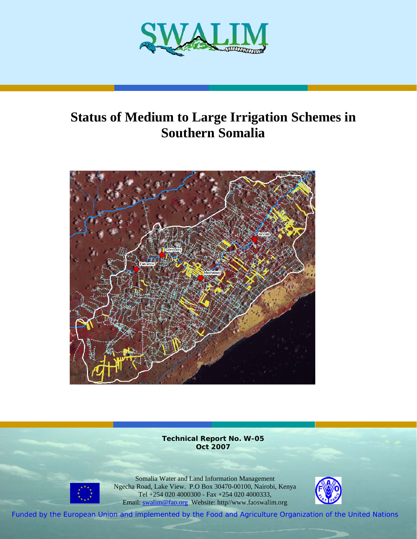

# **Status of Medium to Large Irrigation Schemes in Southern Somalia**



**Technical Report No. W-05 Oct 2007**



Somalia Water and Land Information Management Ngecha Road, Lake View. P.O Box 30470-00100, Nairobi, Kenya Tel +254 020 4000300 - Fax +254 020 4000333, Email: swalim@fao.org Website: http//www.faoswalim.org



Funded by the European Union and implemented by the Food and Agriculture Organization of the United Nations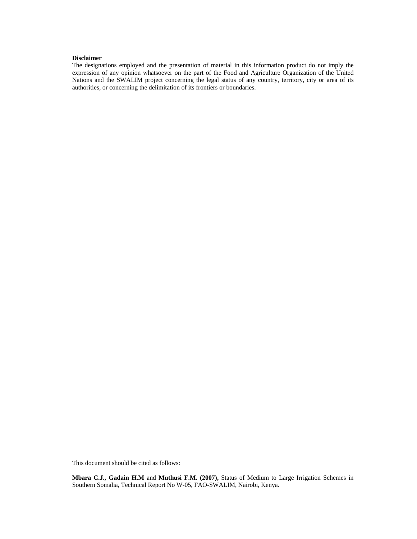#### **Disclaimer**

The designations employed and the presentation of material in this information product do not imply the expression of any opinion whatsoever on the part of the Food and Agriculture Organization of the United Nations and the SWALIM project concerning the legal status of any country, territory, city or area of its authorities, or concerning the delimitation of its frontiers or boundaries.

This document should be cited as follows:

**Mbara C.J., Gadain H.M** and **Muthusi F.M. (2007),** Status of Medium to Large Irrigation Schemes in Southern Somalia, Technical Report No W-05, FAO-SWALIM, Nairobi, Kenya.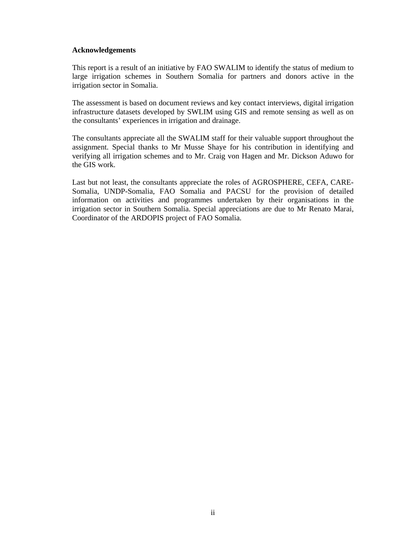#### **Acknowledgements**

This report is a result of an initiative by FAO SWALIM to identify the status of medium to large irrigation schemes in Southern Somalia for partners and donors active in the irrigation sector in Somalia.

The assessment is based on document reviews and key contact interviews, digital irrigation infrastructure datasets developed by SWLIM using GIS and remote sensing as well as on the consultants' experiences in irrigation and drainage.

The consultants appreciate all the SWALIM staff for their valuable support throughout the assignment. Special thanks to Mr Musse Shaye for his contribution in identifying and verifying all irrigation schemes and to Mr. Craig von Hagen and Mr. Dickson Aduwo for the GIS work.

Last but not least, the consultants appreciate the roles of AGROSPHERE, CEFA, CARE-Somalia, UNDP-Somalia, FAO Somalia and PACSU for the provision of detailed information on activities and programmes undertaken by their organisations in the irrigation sector in Southern Somalia. Special appreciations are due to Mr Renato Marai, Coordinator of the ARDOPIS project of FAO Somalia.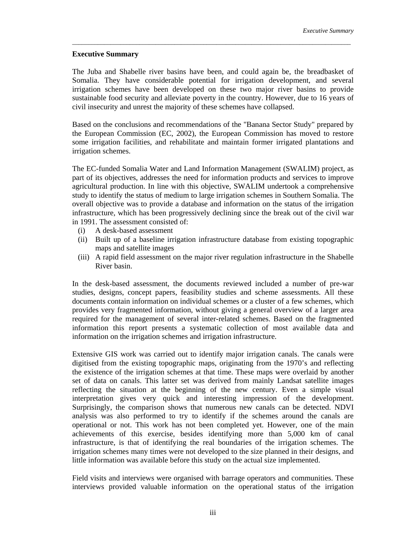### **Executive Summary**

The Juba and Shabelle river basins have been, and could again be, the breadbasket of Somalia. They have considerable potential for irrigation development, and several irrigation schemes have been developed on these two major river basins to provide sustainable food security and alleviate poverty in the country. However, due to 16 years of civil insecurity and unrest the majority of these schemes have collapsed.

\_\_\_\_\_\_\_\_\_\_\_\_\_\_\_\_\_\_\_\_\_\_\_\_\_\_\_\_\_\_\_\_\_\_\_\_\_\_\_\_\_\_\_\_\_\_\_\_\_\_\_\_\_\_\_\_\_\_\_\_\_\_\_\_\_\_\_\_\_\_\_\_\_\_\_\_\_\_\_\_\_\_\_\_\_\_\_

Based on the conclusions and recommendations of the "Banana Sector Study" prepared by the European Commission (EC, 2002), the European Commission has moved to restore some irrigation facilities, and rehabilitate and maintain former irrigated plantations and irrigation schemes.

The EC-funded Somalia Water and Land Information Management (SWALIM) project, as part of its objectives, addresses the need for information products and services to improve agricultural production. In line with this objective, SWALIM undertook a comprehensive study to identify the status of medium to large irrigation schemes in Southern Somalia. The overall objective was to provide a database and information on the status of the irrigation infrastructure, which has been progressively declining since the break out of the civil war in 1991. The assessment consisted of:

- (i) A desk-based assessment
- (ii) Built up of a baseline irrigation infrastructure database from existing topographic maps and satellite images
- (iii) A rapid field assessment on the major river regulation infrastructure in the Shabelle River basin.

In the desk-based assessment, the documents reviewed included a number of pre-war studies, designs, concept papers, feasibility studies and scheme assessments. All these documents contain information on individual schemes or a cluster of a few schemes, which provides very fragmented information, without giving a general overview of a larger area required for the management of several inter-related schemes. Based on the fragmented information this report presents a systematic collection of most available data and information on the irrigation schemes and irrigation infrastructure.

Extensive GIS work was carried out to identify major irrigation canals. The canals were digitised from the existing topographic maps, originating from the 1970's and reflecting the existence of the irrigation schemes at that time. These maps were overlaid by another set of data on canals. This latter set was derived from mainly Landsat satellite images reflecting the situation at the beginning of the new century. Even a simple visual interpretation gives very quick and interesting impression of the development. Surprisingly, the comparison shows that numerous new canals can be detected. NDVI analysis was also performed to try to identify if the schemes around the canals are operational or not. This work has not been completed yet. However, one of the main achievements of this exercise, besides identifying more than 5,000 km of canal infrastructure, is that of identifying the real boundaries of the irrigation schemes. The irrigation schemes many times were not developed to the size planned in their designs, and little information was available before this study on the actual size implemented.

Field visits and interviews were organised with barrage operators and communities. These interviews provided valuable information on the operational status of the irrigation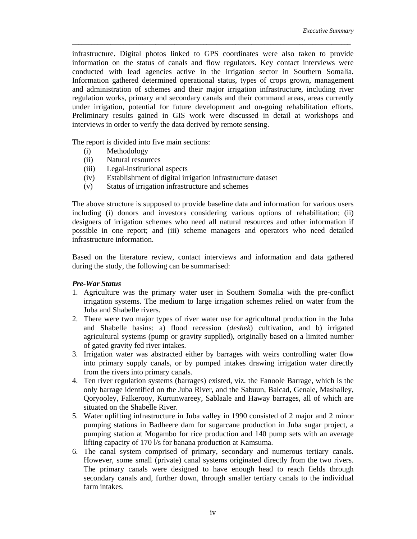infrastructure. Digital photos linked to GPS coordinates were also taken to provide information on the status of canals and flow regulators. Key contact interviews were conducted with lead agencies active in the irrigation sector in Southern Somalia. Information gathered determined operational status, types of crops grown, management and administration of schemes and their major irrigation infrastructure, including river regulation works, primary and secondary canals and their command areas, areas currently under irrigation, potential for future development and on-going rehabilitation efforts. Preliminary results gained in GIS work were discussed in detail at workshops and interviews in order to verify the data derived by remote sensing.

\_\_\_\_\_\_\_\_\_\_\_\_\_\_\_\_\_\_\_\_\_\_\_\_\_\_\_\_\_\_\_\_\_\_\_\_\_\_\_\_\_\_\_\_\_\_\_\_\_\_\_\_\_\_\_\_\_\_\_\_\_\_\_\_\_\_\_\_\_\_\_\_\_\_\_\_\_\_\_\_\_\_\_\_\_\_\_

The report is divided into five main sections:

- (i) Methodology
- (ii) Natural resources
- (iii) Legal-institutional aspects
- (iv) Establishment of digital irrigation infrastructure dataset
- (v) Status of irrigation infrastructure and schemes

The above structure is supposed to provide baseline data and information for various users including (i) donors and investors considering various options of rehabilitation; (ii) designers of irrigation schemes who need all natural resources and other information if possible in one report; and (iii) scheme managers and operators who need detailed infrastructure information.

Based on the literature review, contact interviews and information and data gathered during the study, the following can be summarised:

#### *Pre-War Status*

- 1. Agriculture was the primary water user in Southern Somalia with the pre-conflict irrigation systems. The medium to large irrigation schemes relied on water from the Juba and Shabelle rivers.
- 2. There were two major types of river water use for agricultural production in the Juba and Shabelle basins: a) flood recession (*deshek*) cultivation, and b) irrigated agricultural systems (pump or gravity supplied), originally based on a limited number of gated gravity fed river intakes.
- 3. Irrigation water was abstracted either by barrages with weirs controlling water flow into primary supply canals, or by pumped intakes drawing irrigation water directly from the rivers into primary canals.
- 4. Ten river regulation systems (barrages) existed, viz. the Fanoole Barrage, which is the only barrage identified on the Juba River, and the Sabuun, Balcad, Genale, Mashalley, Qoryooley, Falkerooy, Kurtunwareey, Sablaale and Haway barrages, all of which are situated on the Shabelle River.
- 5. Water uplifting infrastructure in Juba valley in 1990 consisted of 2 major and 2 minor pumping stations in Badheere dam for sugarcane production in Juba sugar project, a pumping station at Mogambo for rice production and 140 pump sets with an average lifting capacity of 170 l/s for banana production at Kamsuma.
- 6. The canal system comprised of primary, secondary and numerous tertiary canals. However, some small (private) canal systems originated directly from the two rivers. The primary canals were designed to have enough head to reach fields through secondary canals and, further down, through smaller tertiary canals to the individual farm intakes.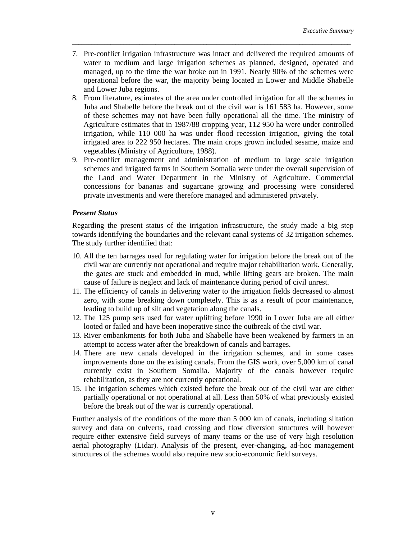7. Pre-conflict irrigation infrastructure was intact and delivered the required amounts of water to medium and large irrigation schemes as planned, designed, operated and managed, up to the time the war broke out in 1991. Nearly 90% of the schemes were operational before the war, the majority being located in Lower and Middle Shabelle and Lower Juba regions.

\_\_\_\_\_\_\_\_\_\_\_\_\_\_\_\_\_\_\_\_\_\_\_\_\_\_\_\_\_\_\_\_\_\_\_\_\_\_\_\_\_\_\_\_\_\_\_\_\_\_\_\_\_\_\_\_\_\_\_\_\_\_\_\_\_\_\_\_\_\_\_\_\_\_\_\_\_\_\_\_\_\_\_\_\_\_\_

- 8. From literature, estimates of the area under controlled irrigation for all the schemes in Juba and Shabelle before the break out of the civil war is 161 583 ha. However, some of these schemes may not have been fully operational all the time. The ministry of Agriculture estimates that in 1987/88 cropping year, 112 950 ha were under controlled irrigation, while 110 000 ha was under flood recession irrigation, giving the total irrigated area to 222 950 hectares. The main crops grown included sesame, maize and vegetables (Ministry of Agriculture, 1988).
- 9. Pre-conflict management and administration of medium to large scale irrigation schemes and irrigated farms in Southern Somalia were under the overall supervision of the Land and Water Department in the Ministry of Agriculture. Commercial concessions for bananas and sugarcane growing and processing were considered private investments and were therefore managed and administered privately.

### *Present Status*

Regarding the present status of the irrigation infrastructure, the study made a big step towards identifying the boundaries and the relevant canal systems of 32 irrigation schemes. The study further identified that:

- 10. All the ten barrages used for regulating water for irrigation before the break out of the civil war are currently not operational and require major rehabilitation work. Generally, the gates are stuck and embedded in mud, while lifting gears are broken. The main cause of failure is neglect and lack of maintenance during period of civil unrest.
- 11. The efficiency of canals in delivering water to the irrigation fields decreased to almost zero, with some breaking down completely. This is as a result of poor maintenance, leading to build up of silt and vegetation along the canals.
- 12. The 125 pump sets used for water uplifting before 1990 in Lower Juba are all either looted or failed and have been inoperative since the outbreak of the civil war.
- 13. River embankments for both Juba and Shabelle have been weakened by farmers in an attempt to access water after the breakdown of canals and barrages.
- 14. There are new canals developed in the irrigation schemes, and in some cases improvements done on the existing canals. From the GIS work, over 5,000 km of canal currently exist in Southern Somalia. Majority of the canals however require rehabilitation, as they are not currently operational.
- 15. The irrigation schemes which existed before the break out of the civil war are either partially operational or not operational at all. Less than 50% of what previously existed before the break out of the war is currently operational.

Further analysis of the conditions of the more than 5 000 km of canals, including siltation survey and data on culverts, road crossing and flow diversion structures will however require either extensive field surveys of many teams or the use of very high resolution aerial photography (Lidar). Analysis of the present, ever-changing, ad-hoc management structures of the schemes would also require new socio-economic field surveys.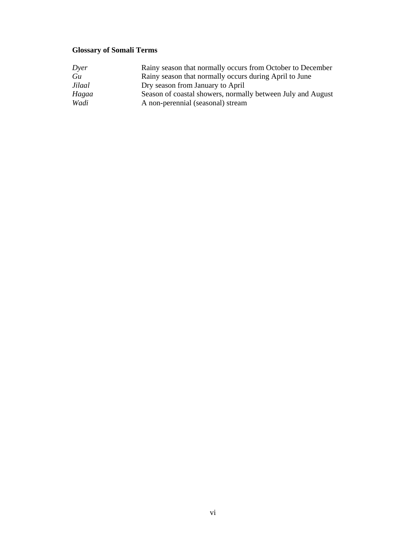# **Glossary of Somali Terms**

| Dyer   | Rainy season that normally occurs from October to December  |
|--------|-------------------------------------------------------------|
| Gu     | Rainy season that normally occurs during April to June      |
| Jilaal | Dry season from January to April                            |
| Hagaa  | Season of coastal showers, normally between July and August |
| Wadi   | A non-perennial (seasonal) stream                           |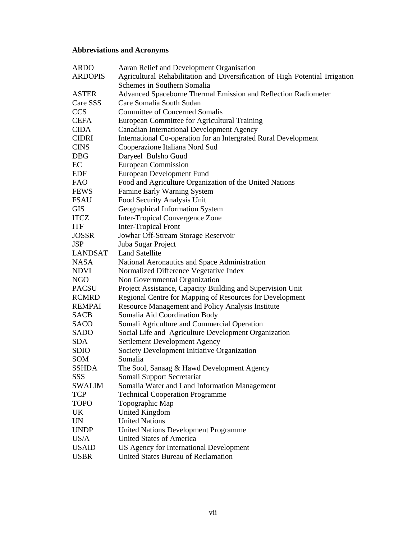# **Abbreviations and Acronyms**

| <b>ARDO</b>    | Aaran Relief and Development Organisation                                    |
|----------------|------------------------------------------------------------------------------|
| <b>ARDOPIS</b> | Agricultural Rehabilitation and Diversification of High Potential Irrigation |
|                | Schemes in Southern Somalia                                                  |
| <b>ASTER</b>   | Advanced Spaceborne Thermal Emission and Reflection Radiometer               |
| Care SSS       | Care Somalia South Sudan                                                     |
| <b>CCS</b>     | <b>Committee of Concerned Somalis</b>                                        |
| <b>CEFA</b>    | European Committee for Agricultural Training                                 |
| <b>CIDA</b>    | <b>Canadian International Development Agency</b>                             |
| <b>CIDRI</b>   | International Co-operation for an Intergrated Rural Development              |
| <b>CINS</b>    | Cooperazione Italiana Nord Sud                                               |
| <b>DBG</b>     | Daryeel Bulsho Guud                                                          |
| EC             | <b>European Commission</b>                                                   |
| <b>EDF</b>     | <b>European Development Fund</b>                                             |
| FAO            | Food and Agriculture Organization of the United Nations                      |
| FEWS           | Famine Early Warning System                                                  |
| <b>FSAU</b>    | Food Security Analysis Unit                                                  |
| <b>GIS</b>     | Geographical Information System                                              |
| <b>ITCZ</b>    | Inter-Tropical Convergence Zone                                              |
| <b>ITF</b>     | <b>Inter-Tropical Front</b>                                                  |
| <b>JOSSR</b>   | Jowhar Off-Stream Storage Reservoir                                          |
| <b>JSP</b>     | Juba Sugar Project                                                           |
| LANDSAT        | <b>Land Satellite</b>                                                        |
| NASA           | National Aeronautics and Space Administration                                |
| NDVI           | Normalized Difference Vegetative Index                                       |
| NGO            | Non Governmental Organization                                                |
| <b>PACSU</b>   | Project Assistance, Capacity Building and Supervision Unit                   |
| <b>RCMRD</b>   | Regional Centre for Mapping of Resources for Development                     |
| <b>REMPAI</b>  | Resource Management and Policy Analysis Institute                            |
| <b>SACB</b>    | Somalia Aid Coordination Body                                                |
| SACO           | Somali Agriculture and Commercial Operation                                  |
| SADO           | Social Life and Agriculture Development Organization                         |
| <b>SDA</b>     | <b>Settlement Development Agency</b>                                         |
| SDIO           | Society Development Initiative Organization                                  |
| SOM            | Somalia                                                                      |
| SSHDA          | The Sool, Sanaag & Hawd Development Agency                                   |
| SSS            | Somali Support Secretariat                                                   |
| <b>SWALIM</b>  | Somalia Water and Land Information Management                                |
| <b>TCP</b>     | <b>Technical Cooperation Programme</b>                                       |
| <b>TOPO</b>    | Topographic Map                                                              |
| UK             | <b>United Kingdom</b>                                                        |
| <b>UN</b>      | <b>United Nations</b>                                                        |
| <b>UNDP</b>    | <b>United Nations Development Programme</b>                                  |
| US/A           | <b>United States of America</b>                                              |
| <b>USAID</b>   | US Agency for International Development                                      |
| <b>USBR</b>    | United States Bureau of Reclamation                                          |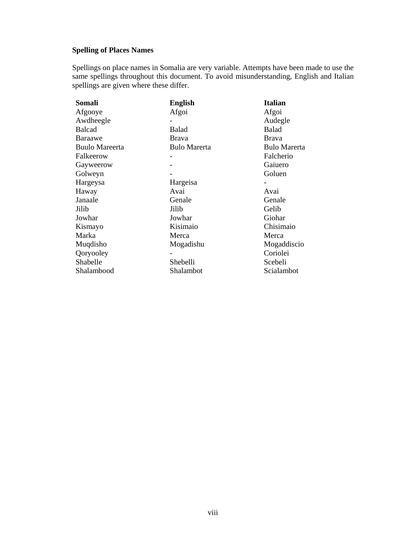### **Spelling of Places Names**

Spellings on place names in Somalia are very variable. Attempts have been made to use the same spellings throughout this document. To avoid misunderstanding, English and Italian spellings are given where these differ.

| Somali                | <b>English</b>      | <b>Italian</b>      |
|-----------------------|---------------------|---------------------|
| Afgooye               | Afgoi               | Afgoi               |
| Awdheegle             |                     | Audegle             |
| <b>Balcad</b>         | Balad               | Balad               |
| Baraawe               | <b>Brava</b>        | <b>Brava</b>        |
| <b>Buulo Mareerta</b> | <b>Bulo Marerta</b> | <b>Bulo Marerta</b> |
| Falkeerow             |                     | Falcherio           |
| Gayweerow             |                     | Gaiuero             |
| Golweyn               |                     | Goluen              |
| Hargeysa              | Hargeisa            |                     |
| Haway                 | Avai                | Avai                |
| Janaale               | Genale              | Genale              |
| Jilib                 | Jilib               | Gelib               |
| Jowhar                | Jowhar              | Giohar              |
| Kismayo               | Kisimaio            | Chisimaio           |
| Marka                 | Merca               | Merca               |
| Muqdisho              | Mogadishu           | Mogaddiscio         |
| Qoryooley             |                     | Coriolei            |
| Shabelle              | Shebelli            | Scebeli             |
| Shalambood            | Shalambot           | Scialambot          |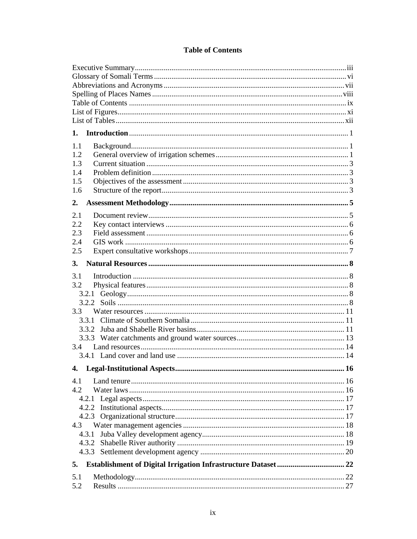### **Table of Contents**

| 1.                             |    |  |
|--------------------------------|----|--|
| 1.1                            |    |  |
| 1.2                            |    |  |
| 1.3                            |    |  |
| 1.4                            |    |  |
| 1.5                            |    |  |
| 1.6                            |    |  |
| 2.                             |    |  |
|                                |    |  |
| 2.1                            |    |  |
| 2.2                            |    |  |
| 2.3                            |    |  |
| 2.4                            |    |  |
| 2.5                            |    |  |
| 3.                             |    |  |
|                                |    |  |
| 3.1                            |    |  |
| 3.2                            |    |  |
|                                |    |  |
|                                |    |  |
| 3.3                            |    |  |
|                                |    |  |
|                                |    |  |
|                                |    |  |
| 3.4                            |    |  |
|                                |    |  |
| 4. Legal-Institutional Aspects | 16 |  |
| 4.1                            |    |  |
| 4.2                            |    |  |
|                                |    |  |
|                                |    |  |
|                                |    |  |
| 4.3                            |    |  |
| 4.3.1                          |    |  |
|                                |    |  |
|                                |    |  |
|                                |    |  |
| 5.                             |    |  |
| 5.1                            |    |  |
| 5.2                            |    |  |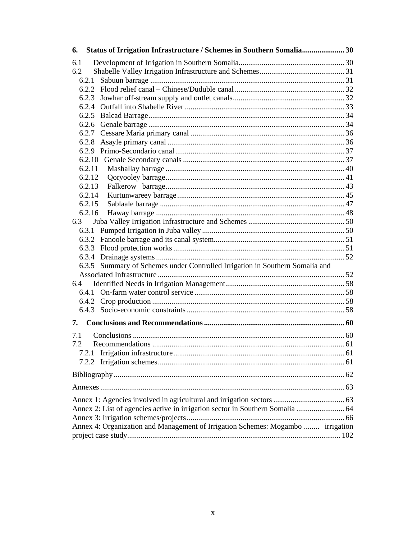| Status of Irrigation Infrastructure / Schemes in Southern Somalia 30<br>6.      |  |
|---------------------------------------------------------------------------------|--|
| 6.1                                                                             |  |
| 6.2                                                                             |  |
| 6.2.1                                                                           |  |
|                                                                                 |  |
|                                                                                 |  |
|                                                                                 |  |
|                                                                                 |  |
|                                                                                 |  |
|                                                                                 |  |
|                                                                                 |  |
|                                                                                 |  |
|                                                                                 |  |
| 6.2.11                                                                          |  |
| 6.2.12                                                                          |  |
| 6.2.13                                                                          |  |
| 6.2.14                                                                          |  |
| 6.2.15                                                                          |  |
| 6.2.16                                                                          |  |
| 6.3                                                                             |  |
|                                                                                 |  |
|                                                                                 |  |
|                                                                                 |  |
|                                                                                 |  |
| 6.3.5 Summary of Schemes under Controlled Irrigation in Southern Somalia and    |  |
|                                                                                 |  |
| 6.4                                                                             |  |
|                                                                                 |  |
|                                                                                 |  |
|                                                                                 |  |
| 7.                                                                              |  |
| 7.1                                                                             |  |
| 7.2                                                                             |  |
|                                                                                 |  |
|                                                                                 |  |
|                                                                                 |  |
|                                                                                 |  |
|                                                                                 |  |
| Annex 2: List of agencies active in irrigation sector in Southern Somalia  64   |  |
|                                                                                 |  |
| Annex 4: Organization and Management of Irrigation Schemes: Mogambo  irrigation |  |
|                                                                                 |  |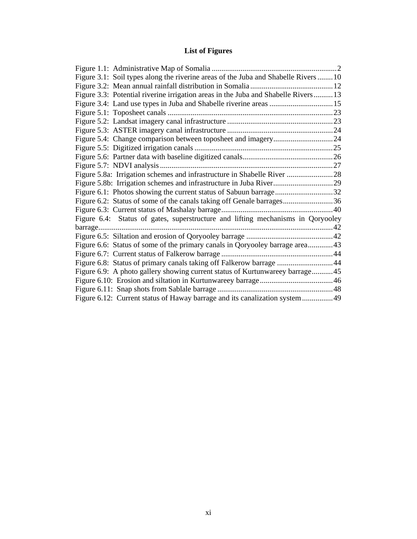# **List of Figures**

| Figure 3.1: Soil types along the riverine areas of the Juba and Shabelle Rivers 10 |  |
|------------------------------------------------------------------------------------|--|
|                                                                                    |  |
| Figure 3.3: Potential riverine irrigation areas in the Juba and Shabelle Rivers13  |  |
|                                                                                    |  |
|                                                                                    |  |
|                                                                                    |  |
|                                                                                    |  |
|                                                                                    |  |
|                                                                                    |  |
|                                                                                    |  |
|                                                                                    |  |
|                                                                                    |  |
|                                                                                    |  |
| Figure 6.1: Photos showing the current status of Sabuun barrage32                  |  |
| Figure 6.2: Status of some of the canals taking off Genale barrages36              |  |
|                                                                                    |  |
| Figure 6.4: Status of gates, superstructure and lifting mechanisms in Qoryooley    |  |
|                                                                                    |  |
|                                                                                    |  |
| Figure 6.6: Status of some of the primary canals in Qoryooley barrage area43       |  |
|                                                                                    |  |
| Figure 6.8: Status of primary canals taking off Falkerow barrage 44                |  |
| Figure 6.9: A photo gallery showing current status of Kurtunwareey barrage45       |  |
|                                                                                    |  |
|                                                                                    |  |
| Figure 6.12: Current status of Haway barrage and its canalization system  49       |  |